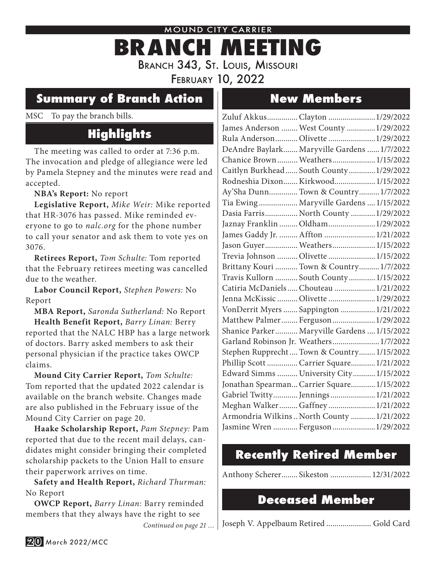#### MOUND CITY CARRIER

# **BRANCH MEETING** Branch 343, St. Louis, Missouri

February 10, 2022

#### **Summary of Branch Action**

#### MSC To pay the branch bills.

## **Highlights**

The meeting was called to order at 7:36 p.m. The invocation and pledge of allegiance were led by Pamela Stepney and the minutes were read and accepted.

**NBA's Report:** No report

**Legislative Report,** *Mike Weir:* Mike reported that HR-3076 has passed. Mike reminded everyone to go to *nalc.org* for the phone number to call your senator and ask them to vote yes on 3076.

**Retirees Report,** *Tom Schulte:* Tom reported that the February retirees meeting was cancelled due to the weather.

**Labor Council Report,** *Stephen Powers:* No Report

**MBA Report,** *Saronda Sutherland:* No Report

**Health Benefit Report,** *Barry Linan:* Berry reported that the NALC HBP has a large network of doctors. Barry asked members to ask their personal physician if the practice takes OWCP claims.

**Mound City Carrier Report,** *Tom Schulte:* Tom reported that the updated 2022 calendar is available on the branch website. Changes made are also published in the February issue of the Mound City Carrier on page 20.

**Haake Scholarship Report,** *Pam Stepney:* Pam reported that due to the recent mail delays, candidates might consider bringing their completed scholarship packets to the Union Hall to ensure their paperwork arrives on time.

**Safety and Health Report,** *Richard Thurman:* No Report

**OWCP Report,** *Barry Linan:* Barry reminded members that they always have the right to see *Continued on page 21 …*

## **New Members**

| Zuluf AkkusClayton 1/29/2022                 |  |
|----------------------------------------------|--|
| James Anderson  West County  1/29/2022       |  |
| Rula Anderson Olivette  1/29/2022            |  |
| DeAndre Baylark Maryville Gardens  1/7/2022  |  |
| Chanice Brown Weathers 1/15/2022             |  |
| Caitlyn Burkhead  South County  1/29/2022    |  |
| Rodneshia Dixon Kirkwood 1/15/2022           |  |
| Ay'Sha DunnTown & Country 1/7/2022           |  |
| Tia Ewing  Maryville Gardens  1/15/2022      |  |
| Dasia Farris North County  1/29/2022         |  |
| Jaznay Franklin  Oldham  1/29/2022           |  |
| James Gaddy Jr.  Affton  1/21/2022           |  |
| Jason Guyer Weathers 1/15/2022               |  |
| Trevia Johnson  Olivette  1/15/2022          |  |
| Brittany Kouri  Town & Country  1/7/2022     |  |
| Travis Kullorn  South County  1/15/2022      |  |
| Catiria McDaniels  Chouteau  1/21/2022       |  |
| Jenna McKissic  Olivette  1/29/2022          |  |
| VonDerrit Myers  Sappington  1/21/2022       |  |
| Matthew Palmer Ferguson 1/29/2022            |  |
| Shanice Parker Maryville Gardens  1/15/2022  |  |
| Garland Robinson Jr. Weathers 1/7/2022       |  |
| Stephen Rupprecht  Town & Country  1/15/2022 |  |
| Phillip Scott  Carrier Square 1/21/2022      |  |
| Edward Simms  University City  1/15/2022     |  |
| Jonathan Spearman Carrier Square 1/15/2022   |  |
| Gabriel Twitty Jennings 1/21/2022            |  |
| Meghan Walker  Gaffney  1/21/2022            |  |
| Armondria Wilkins  North County  1/21/2022   |  |
| Jasmine Wren  Ferguson  1/29/2022            |  |
|                                              |  |

#### **Recently Retired Member**

Anthony Scherer........ Sikeston ....................12/31/2022

#### **Deceased Member**

Joseph V. Appelbaum Retired ...................... Gold Card